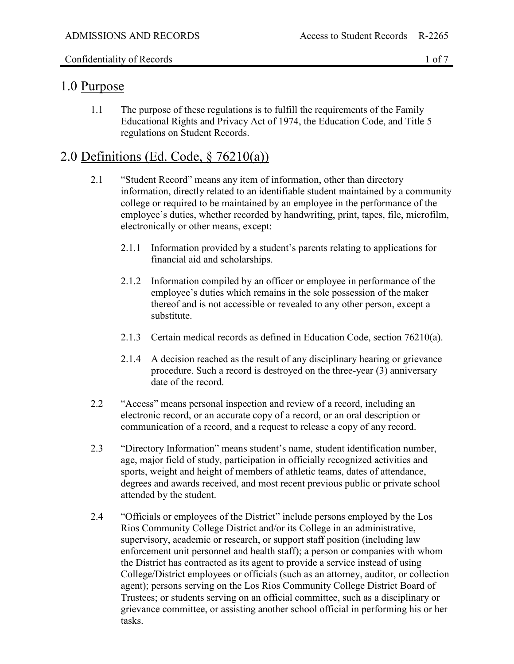#### Confidentiality of Records 1 of 7

#### 1.0 Purpose

1.1 The purpose of these regulations is to fulfill the requirements of the Family Educational Rights and Privacy Act of 1974, the Education Code, and Title 5 regulations on Student Records.

# 2.0 Definitions (Ed. Code, § 76210(a))

- 2.1 "Student Record" means any item of information, other than directory information, directly related to an identifiable student maintained by a community college or required to be maintained by an employee in the performance of the employee's duties, whether recorded by handwriting, print, tapes, file, microfilm, electronically or other means, except:
	- 2.1.1 Information provided by a student's parents relating to applications for financial aid and scholarships.
	- 2.1.2 Information compiled by an officer or employee in performance of the employee's duties which remains in the sole possession of the maker thereof and is not accessible or revealed to any other person, except a substitute.
	- 2.1.3 Certain medical records as defined in Education Code, section 76210(a).
	- 2.1.4 A decision reached as the result of any disciplinary hearing or grievance procedure. Such a record is destroyed on the three-year (3) anniversary date of the record.
- 2.2 "Access" means personal inspection and review of a record, including an electronic record, or an accurate copy of a record, or an oral description or communication of a record, and a request to release a copy of any record.
- 2.3 "Directory Information" means student's name, student identification number, age, major field of study, participation in officially recognized activities and sports, weight and height of members of athletic teams, dates of attendance, degrees and awards received, and most recent previous public or private school attended by the student.
- 2.4 "Officials or employees of the District" include persons employed by the Los Rios Community College District and/or its College in an administrative, supervisory, academic or research, or support staff position (including law enforcement unit personnel and health staff); a person or companies with whom the District has contracted as its agent to provide a service instead of using College/District employees or officials (such as an attorney, auditor, or collection agent); persons serving on the Los Rios Community College District Board of Trustees; or students serving on an official committee, such as a disciplinary or grievance committee, or assisting another school official in performing his or her tasks.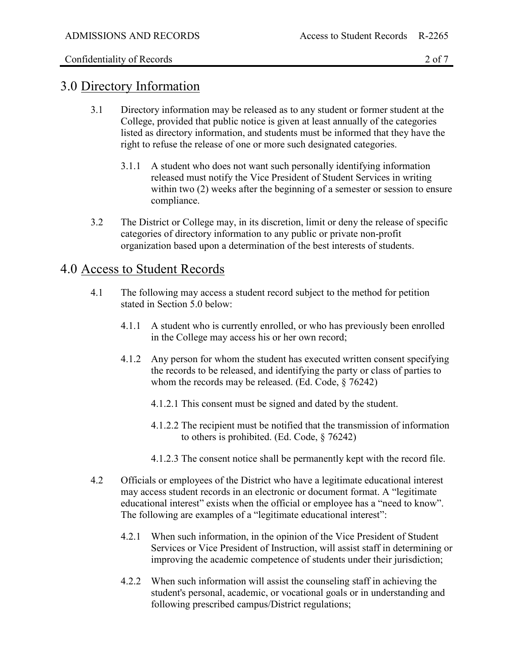#### 3.0 Directory Information

- 3.1 Directory information may be released as to any student or former student at the College, provided that public notice is given at least annually of the categories listed as directory information, and students must be informed that they have the right to refuse the release of one or more such designated categories.
	- 3.1.1 A student who does not want such personally identifying information released must notify the Vice President of Student Services in writing within two (2) weeks after the beginning of a semester or session to ensure compliance.
- 3.2 The District or College may, in its discretion, limit or deny the release of specific categories of directory information to any public or private non-profit organization based upon a determination of the best interests of students.

## 4.0 Access to Student Records

- 4.1 The following may access a student record subject to the method for petition stated in Section 5.0 below:
	- 4.1.1 A student who is currently enrolled, or who has previously been enrolled in the College may access his or her own record;
	- 4.1.2 Any person for whom the student has executed written consent specifying the records to be released, and identifying the party or class of parties to whom the records may be released. (Ed. Code, § 76242)
		- 4.1.2.1 This consent must be signed and dated by the student.
		- 4.1.2.2 The recipient must be notified that the transmission of information to others is prohibited. (Ed. Code, § 76242)
		- 4.1.2.3 The consent notice shall be permanently kept with the record file.
- 4.2 Officials or employees of the District who have a legitimate educational interest may access student records in an electronic or document format. A "legitimate educational interest" exists when the official or employee has a "need to know". The following are examples of a "legitimate educational interest":
	- 4.2.1 When such information, in the opinion of the Vice President of Student Services or Vice President of Instruction, will assist staff in determining or improving the academic competence of students under their jurisdiction;
	- 4.2.2 When such information will assist the counseling staff in achieving the student's personal, academic, or vocational goals or in understanding and following prescribed campus/District regulations;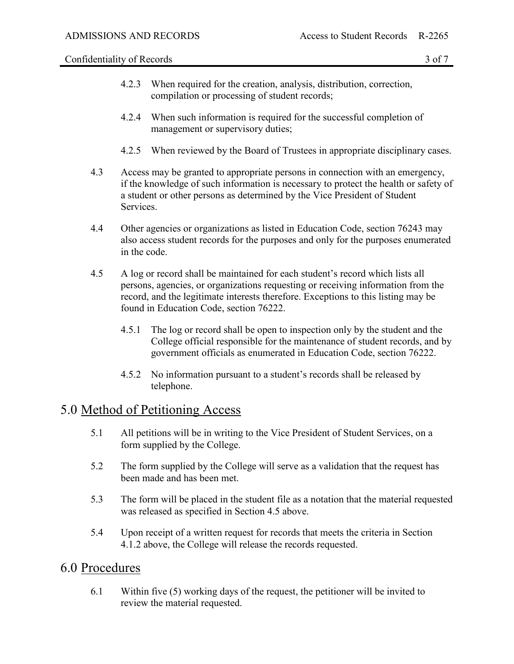Confidentiality of Records 3 of 7

- 4.2.3 When required for the creation, analysis, distribution, correction, compilation or processing of student records;
- 4.2.4 When such information is required for the successful completion of management or supervisory duties;
- 4.2.5 When reviewed by the Board of Trustees in appropriate disciplinary cases.
- 4.3 Access may be granted to appropriate persons in connection with an emergency, if the knowledge of such information is necessary to protect the health or safety of a student or other persons as determined by the Vice President of Student Services.
- 4.4 Other agencies or organizations as listed in Education Code, section 76243 may also access student records for the purposes and only for the purposes enumerated in the code.
- 4.5 A log or record shall be maintained for each student's record which lists all persons, agencies, or organizations requesting or receiving information from the record, and the legitimate interests therefore. Exceptions to this listing may be found in Education Code, section 76222.
	- 4.5.1 The log or record shall be open to inspection only by the student and the College official responsible for the maintenance of student records, and by government officials as enumerated in Education Code, section 76222.
	- 4.5.2 No information pursuant to a student's records shall be released by telephone.

# 5.0 Method of Petitioning Access

- 5.1 All petitions will be in writing to the Vice President of Student Services, on a form supplied by the College.
- 5.2 The form supplied by the College will serve as a validation that the request has been made and has been met.
- 5.3 The form will be placed in the student file as a notation that the material requested was released as specified in Section 4.5 above.
- 5.4 Upon receipt of a written request for records that meets the criteria in Section 4.1.2 above, the College will release the records requested.

#### 6.0 Procedures

6.1 Within five (5) working days of the request, the petitioner will be invited to review the material requested.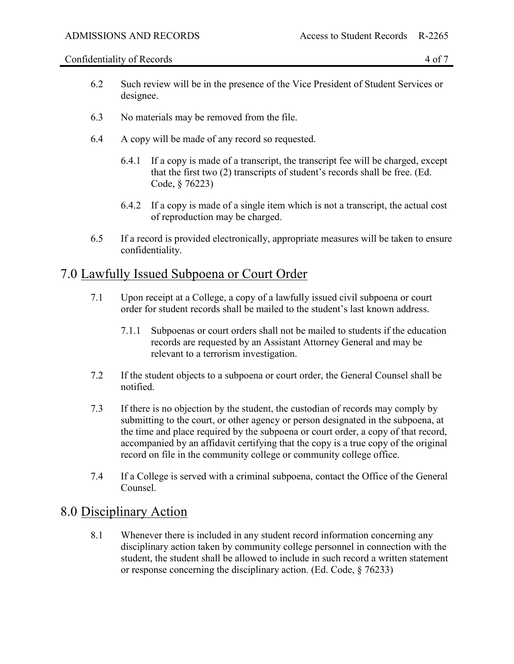Confidentiality of Records 4 of 7

- 6.2 Such review will be in the presence of the Vice President of Student Services or designee.
- 6.3 No materials may be removed from the file.
- 6.4 A copy will be made of any record so requested.
	- 6.4.1 If a copy is made of a transcript, the transcript fee will be charged, except that the first two (2) transcripts of student's records shall be free. (Ed. Code, § 76223)
	- 6.4.2 If a copy is made of a single item which is not a transcript, the actual cost of reproduction may be charged.
- 6.5 If a record is provided electronically, appropriate measures will be taken to ensure confidentiality.

## 7.0 Lawfully Issued Subpoena or Court Order

- 7.1 Upon receipt at a College, a copy of a lawfully issued civil subpoena or court order for student records shall be mailed to the student's last known address.
	- 7.1.1 Subpoenas or court orders shall not be mailed to students if the education records are requested by an Assistant Attorney General and may be relevant to a terrorism investigation.
- 7.2 If the student objects to a subpoena or court order, the General Counsel shall be notified.
- 7.3 If there is no objection by the student, the custodian of records may comply by submitting to the court, or other agency or person designated in the subpoena, at the time and place required by the subpoena or court order, a copy of that record, accompanied by an affidavit certifying that the copy is a true copy of the original record on file in the community college or community college office.
- 7.4 If a College is served with a criminal subpoena, contact the Office of the General Counsel.

### 8.0 Disciplinary Action

8.1 Whenever there is included in any student record information concerning any disciplinary action taken by community college personnel in connection with the student, the student shall be allowed to include in such record a written statement or response concerning the disciplinary action. (Ed. Code, § 76233)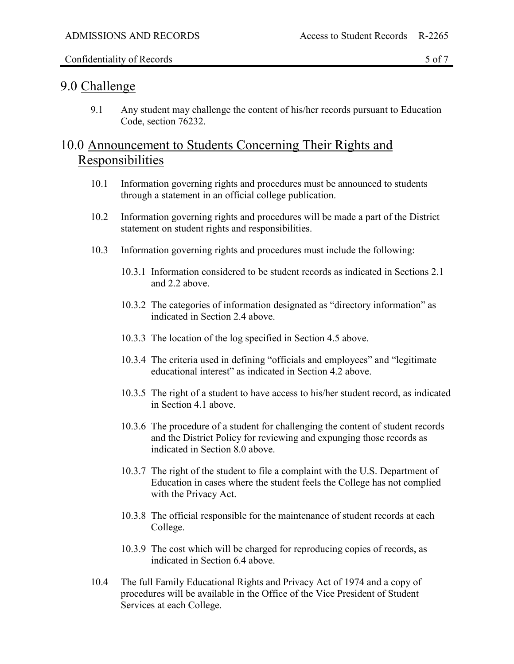#### 9.0 Challenge

9.1 Any student may challenge the content of his/her records pursuant to Education Code, section 76232.

# 10.0 Announcement to Students Concerning Their Rights and Responsibilities

- 10.1 Information governing rights and procedures must be announced to students through a statement in an official college publication.
- 10.2 Information governing rights and procedures will be made a part of the District statement on student rights and responsibilities.
- 10.3 Information governing rights and procedures must include the following:
	- 10.3.1 Information considered to be student records as indicated in Sections 2.1 and 2.2 above.
	- 10.3.2 The categories of information designated as "directory information" as indicated in Section 2.4 above.
	- 10.3.3 The location of the log specified in Section 4.5 above.
	- 10.3.4 The criteria used in defining "officials and employees" and "legitimate educational interest" as indicated in Section 4.2 above.
	- 10.3.5 The right of a student to have access to his/her student record, as indicated in Section 4.1 above.
	- 10.3.6 The procedure of a student for challenging the content of student records and the District Policy for reviewing and expunging those records as indicated in Section 8.0 above.
	- 10.3.7 The right of the student to file a complaint with the U.S. Department of Education in cases where the student feels the College has not complied with the Privacy Act.
	- 10.3.8 The official responsible for the maintenance of student records at each College.
	- 10.3.9 The cost which will be charged for reproducing copies of records, as indicated in Section 6.4 above.
- 10.4 The full Family Educational Rights and Privacy Act of 1974 and a copy of procedures will be available in the Office of the Vice President of Student Services at each College.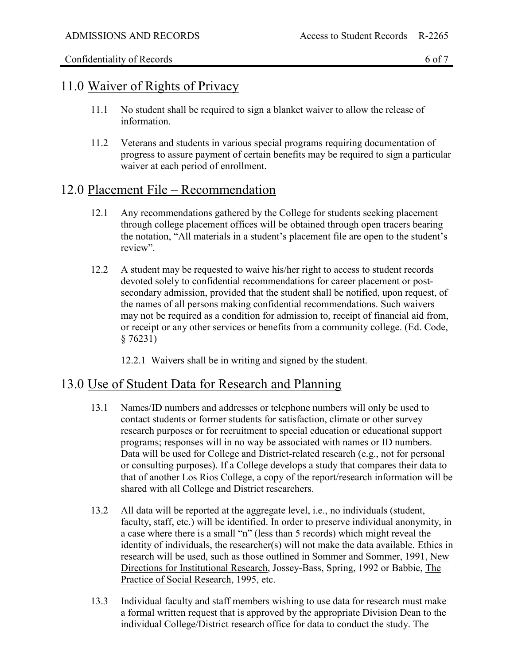## 11.0 Waiver of Rights of Privacy

- 11.1 No student shall be required to sign a blanket waiver to allow the release of information.
- 11.2 Veterans and students in various special programs requiring documentation of progress to assure payment of certain benefits may be required to sign a particular waiver at each period of enrollment.

# 12.0 Placement File – Recommendation

- 12.1 Any recommendations gathered by the College for students seeking placement through college placement offices will be obtained through open tracers bearing the notation, "All materials in a student's placement file are open to the student's review".
- 12.2 A student may be requested to waive his/her right to access to student records devoted solely to confidential recommendations for career placement or postsecondary admission, provided that the student shall be notified, upon request, of the names of all persons making confidential recommendations. Such waivers may not be required as a condition for admission to, receipt of financial aid from, or receipt or any other services or benefits from a community college. (Ed. Code, § 76231)
	- 12.2.1 Waivers shall be in writing and signed by the student.

# 13.0 Use of Student Data for Research and Planning

- 13.1 Names/ID numbers and addresses or telephone numbers will only be used to contact students or former students for satisfaction, climate or other survey research purposes or for recruitment to special education or educational support programs; responses will in no way be associated with names or ID numbers. Data will be used for College and District-related research (e.g., not for personal or consulting purposes). If a College develops a study that compares their data to that of another Los Rios College, a copy of the report/research information will be shared with all College and District researchers.
- 13.2 All data will be reported at the aggregate level, i.e., no individuals (student, faculty, staff, etc.) will be identified. In order to preserve individual anonymity, in a case where there is a small "n" (less than 5 records) which might reveal the identity of individuals, the researcher(s) will not make the data available. Ethics in research will be used, such as those outlined in Sommer and Sommer, 1991, New Directions for Institutional Research, Jossey-Bass, Spring, 1992 or Babbie, The Practice of Social Research, 1995, etc.
- 13.3 Individual faculty and staff members wishing to use data for research must make a formal written request that is approved by the appropriate Division Dean to the individual College/District research office for data to conduct the study. The